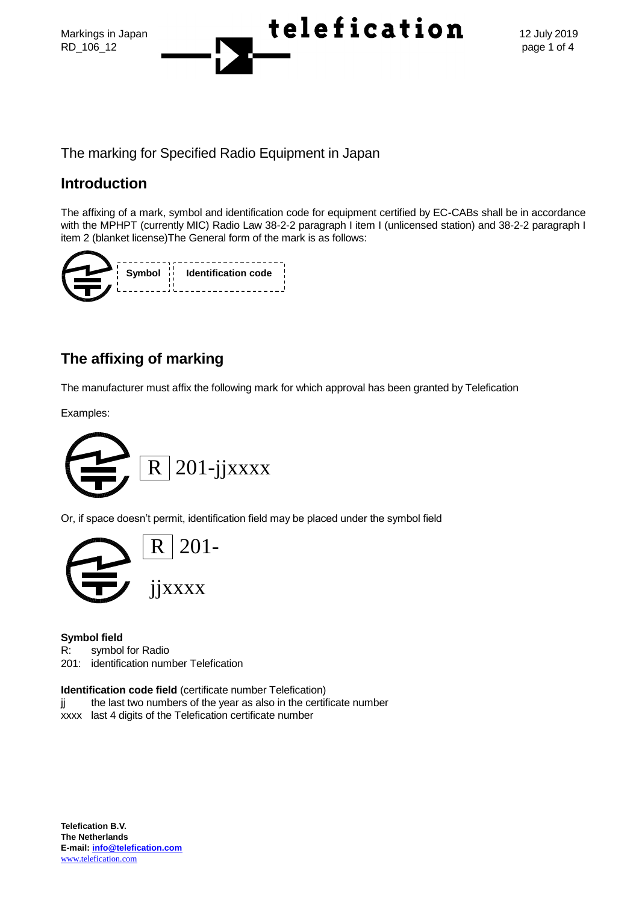



The marking for Specified Radio Equipment in Japan

## **Introduction**

The affixing of a mark, symbol and identification code for equipment certified by EC-CABs shall be in accordance with the MPHPT (currently MIC) Radio Law 38-2-2 paragraph I item I (unlicensed station) and 38-2-2 paragraph I item 2 (blanket license)The General form of the mark is as follows:

|  | Symbol i Identification code |
|--|------------------------------|
|  |                              |

# **The affixing of marking**

The manufacturer must affix the following mark for which approval has been granted by Telefication

Examples:



Or, if space doesn't permit, identification field may be placed under the symbol field



#### **Symbol field**

R: symbol for Radio

201: identification number Telefication

#### **Identification code field** (certificate number Telefication)

- jj the last two numbers of the year as also in the certificate number
- xxxx last 4 digits of the Telefication certificate number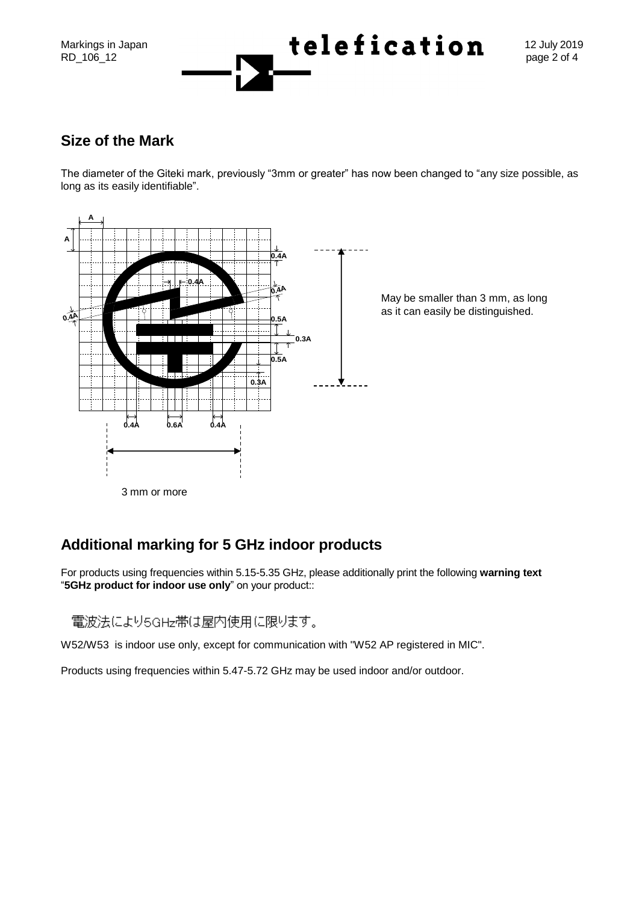

### **Size of the Mark**

The diameter of the Giteki mark, previously "3mm or greater" has now been changed to "any size possible, as long as its easily identifiable".



# **Additional marking for 5 GHz indoor products**

For products using frequencies within 5.15-5.35 GHz, please additionally print the following **warning text** "**5GHz product for indoor use only**" on your product::

電波法により5GHz帯は屋内使用に限ります。

W52/W53 is indoor use only, except for communication with "W52 AP registered in MIC".

Products using frequencies within 5.47-5.72 GHz may be used indoor and/or outdoor.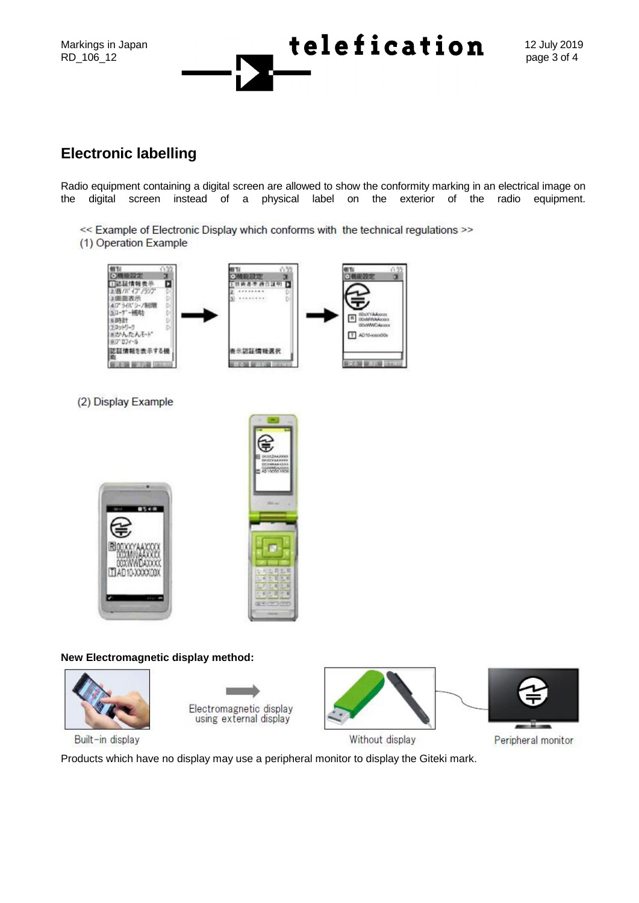

## **Electronic labelling**

Radio equipment containing a digital screen are allowed to show the conformity marking in an electrical image on the digital screen instead of a physical label on the exterior of the radio equipment.

- << Example of Electronic Display which conforms with the technical regulations >>
- (1) Operation Example



(2) Display Example





#### **New Electromagnetic display method:**



Built-in display

Electromagnetic display using external display





Without display

Peripheral monitor

Products which have no display may use a peripheral monitor to display the Giteki mark.